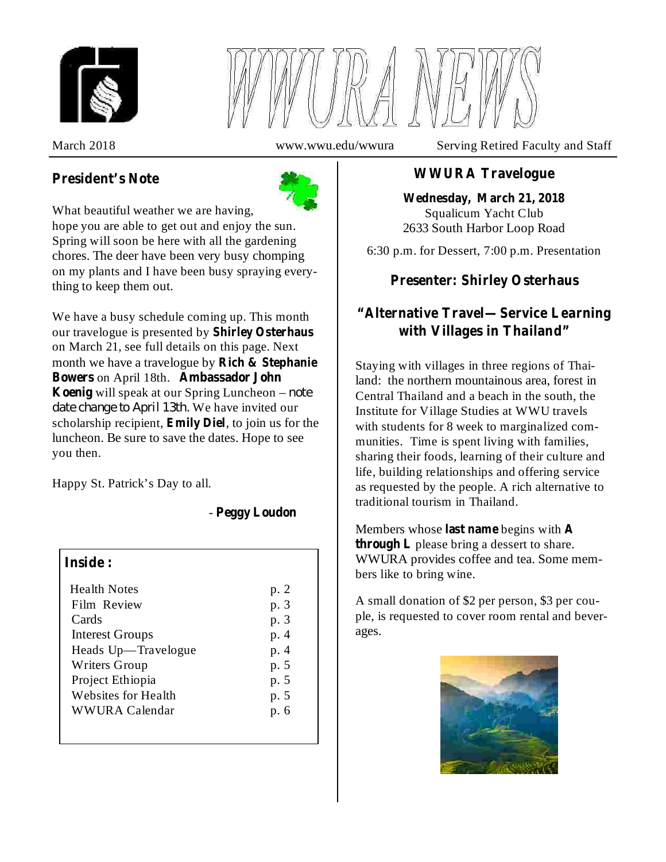

# **President's Note**



What beautiful weather we are having, hope you are able to get out and enjoy the sun. Spring will soon be here with all the gardening chores. The deer have been very busy chomping on my plants and I have been busy spraying everything to keep them out.

We have a busy schedule coming up. This month our travelogue is presented by **Shirley Osterhaus** on March 21, see full details on this page. Next month we have a travelogue by **Rich & Stephanie** Bowers on April 18th. Ambassador John **Koenig** will speak at our Spring Luncheon – note *date change to April 13th.* We have invited our scholarship recipient, **Emily Diel**, to join us for the luncheon. Be sure to save the dates. Hope to see you then.

Happy St. Patrick's Day to all.

# - **Peggy Loudon**

### **Inside :**

| <b>Health Notes</b>    | p. 2 |
|------------------------|------|
| Film Review            | p. 3 |
| Cards                  | p. 3 |
| <b>Interest Groups</b> | p. 4 |
| Heads Up—Travelogue    | p. 4 |
| Writers Group          | p. 5 |
| Project Ethiopia       | p. 5 |
| Websites for Health    | p. 5 |
| <b>WWURA Calendar</b>  | p. 6 |
|                        |      |

March 2018 www.wwu.edu/wwura Serving Retired Faculty and Staff

# **WWURA Travelogue**

Squalicum Yacht Club 2633 South Harbor Loop Road **Wednesday, March 21, 2018**

6:30 p.m. for Dessert, 7:00 p.m. Presentation

# **Presenter: Shirley Osterhaus**

# **"Alternative Travel—Service Learning with Villages in Thailand"**

Staying with villages in three regions of Thailand: the northern mountainous area, forest in Central Thailand and a beach in the south, the Institute for Village Studies at WWU travels with students for 8 week to marginalized communities. Time is spent living with families, sharing their foods, learning of their culture and life, building relationships and offering service as requested by the people. A rich alternative to traditional tourism in Thailand.

Members whose last name begins with A **through L** please bring a dessert to share. WWURA provides coffee and tea. Some members like to bring wine.

A small donation of \$2 per person, \$3 per couple, is requested to cover room rental and beverages.

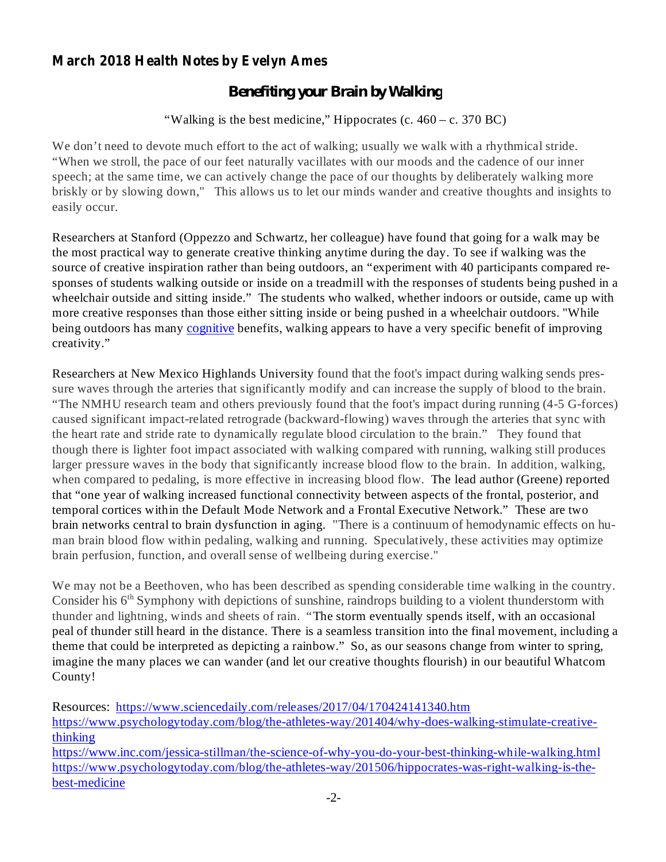## **March 2018 Health Notes by Evelyn Ames**

## *Benefiting your Brain by Walking*

"Walking is the best medicine," Hippocrates (c.  $460 - c$ . 370 BC)

We don't need to devote much effort to the act of walking; usually we walk with a rhythmical stride. "When we stroll, the pace of our feet naturally vacillates with our moods and the cadence of our inner speech; at the same time, we can actively change the pace of our thoughts by deliberately walking more briskly or by slowing down," This allows us to let our minds wander and creative thoughts and insights to easily occur.

Researchers at Stanford (Oppezzo and Schwartz, her colleague) have found that going for a walk may be the most practical way to generate creative thinking anytime during the day. To see if walking was the source of creative inspiration rather than being outdoors, an "experiment with 40 participants compared responses of students walking outside or inside on a treadmill with the responses of students being pushed in a wheelchair outside and sitting inside." The students who walked, whether indoors or outside, came up with more creative responses than those either sitting inside or being pushed in a wheelchair outdoors. "While being outdoors has many cognitive benefits, walking appears to have a very specific benefit of improving creativity."

Researchers at New Mexico Highlands University found that the foot's impact during walking sends pressure waves through the arteries that significantly modify and can increase the supply of blood to the brain. "The NMHU research team and others previously found that the foot's impact during running (4-5 G-forces) caused significant impact-related retrograde (backward-flowing) waves through the arteries that sync with the heart rate and stride rate to dynamically regulate blood circulation to the brain." They found that though there is lighter foot impact associated with walking compared with running, walking still produces larger pressure waves in the body that significantly increase blood flow to the brain. In addition, walking, when compared to pedaling, is more effective in increasing blood flow. The lead author (Greene) reported that "one year of walking increased functional connectivity between aspects of the frontal, posterior, and temporal cortices within the Default Mode Network and a Frontal Executive Network." These are two brain networks central to brain dysfunction in aging. "There is a continuum of hemodynamic effects on human brain blood flow within pedaling, walking and running. Speculatively, these activities may optimize brain perfusion, function, and overall sense of wellbeing during exercise."

We may not be a Beethoven, who has been described as spending considerable time walking in the country. Consider his  $6<sup>th</sup>$  Symphony with depictions of sunshine, raindrops building to a violent thunderstorm with thunder and lightning, winds and sheets of rain. "The storm eventually spends itself, with an occasional peal of thunder still heard in the distance. There is a seamless transition into the final movement, including a theme that could be interpreted as depicting a rainbow." So, as our seasons change from winter to spring, imagine the many places we can wander (and let our creative thoughts flourish) in our beautiful Whatcom County!

Resources: https://www.sciencedaily.com/releases/2017/04/170424141340.htm

https://www.psychologytoday.com/blog/the-athletes-way/201404/why-does-walking-stimulate-creativethinking

https://www.inc.com/jessica-stillman/the-science-of-why-you-do-your-best-thinking-while-walking.html https://www.psychologytoday.com/blog/the-athletes-way/201506/hippocrates-was-right-walking-is-thebest-medicine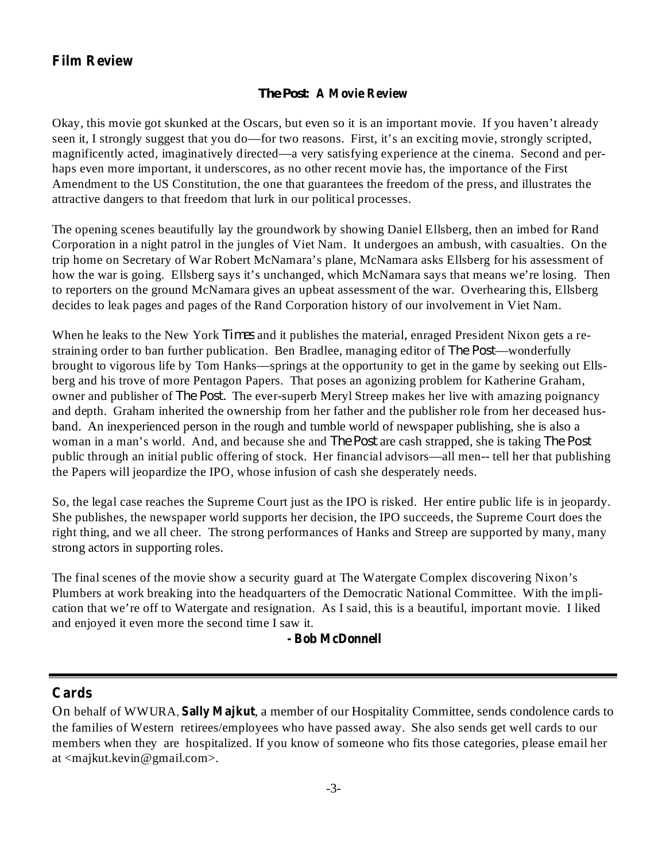## **Film Review**

#### **: A Movie Review** *The Post*

Okay, this movie got skunked at the Oscars, but even so it is an important movie. If you haven't already seen it, I strongly suggest that you do—for two reasons. First, it's an exciting movie, strongly scripted, magnificently acted, imaginatively directed—a very satisfying experience at the cinema. Second and perhaps even more important, it underscores, as no other recent movie has, the importance of the First Amendment to the US Constitution, the one that guarantees the freedom of the press, and illustrates the attractive dangers to that freedom that lurk in our political processes.

The opening scenes beautifully lay the groundwork by showing Daniel Ellsberg, then an imbed for Rand Corporation in a night patrol in the jungles of Viet Nam. It undergoes an ambush, with casualties. On the trip home on Secretary of War Robert McNamara's plane, McNamara asks Ellsberg for his assessment of how the war is going. Ellsberg says it's unchanged, which McNamara says that means we're losing. Then to reporters on the ground McNamara gives an upbeat assessment of the war. Overhearing this, Ellsberg decides to leak pages and pages of the Rand Corporation history of our involvement in Viet Nam.

When he leaks to the New York *Times* and it publishes the material, enraged President Nixon gets a restraining order to ban further publication. Ben Bradlee, managing editor of *The Post*—wonderfully brought to vigorous life by Tom Hanks—springs at the opportunity to get in the game by seeking out Ellsberg and his trove of more Pentagon Papers. That poses an agonizing problem for Katherine Graham, owner and publisher of *The Post*. The ever-superb Meryl Streep makes her live with amazing poignancy and depth. Graham inherited the ownership from her father and the publisher role from her deceased husband. An inexperienced person in the rough and tumble world of newspaper publishing, she is also a woman in a man's world. And, and because she and *The Post* are cash strapped, she is taking *The Post* public through an initial public offering of stock. Her financial advisors—all men-- tell her that publishing the Papers will jeopardize the IPO, whose infusion of cash she desperately needs.

So, the legal case reaches the Supreme Court just as the IPO is risked. Her entire public life is in jeopardy. She publishes, the newspaper world supports her decision, the IPO succeeds, the Supreme Court does the right thing, and we all cheer. The strong performances of Hanks and Streep are supported by many, many strong actors in supporting roles.

The final scenes of the movie show a security guard at The Watergate Complex discovering Nixon's Plumbers at work breaking into the headquarters of the Democratic National Committee. With the implication that we're off to Watergate and resignation. As I said, this is a beautiful, important movie. I liked and enjoyed it even more the second time I saw it.

#### **- Bob McDonnell**

#### **Cards**

On behalf of WWURA, Sally Majkut, a member of our Hospitality Committee, sends condolence cards to the families of Western retirees/employees who have passed away. She also sends get well cards to our members when they are hospitalized. If you know of someone who fits those categories, please email her at <majkut.kevin@gmail.com>.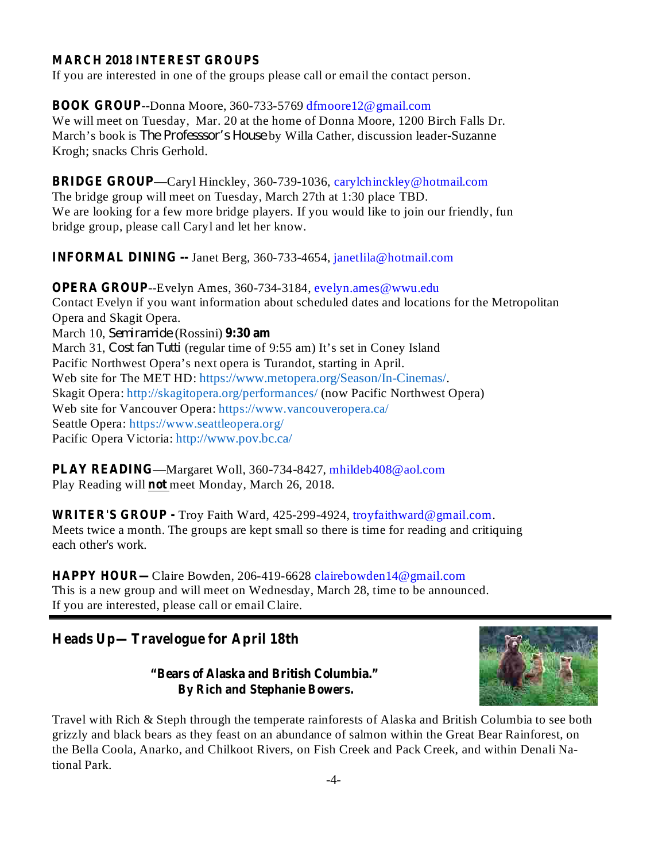### **MARCH 2018 INTEREST GROUPS**

If you are interested in one of the groups please call or email the contact person.

**BOOK GROUP** --Donna Moore, 360-733-5769 dfmoore12@gmail.com We will meet on Tuesday, Mar. 20 at the home of Donna Moore, 1200 Birch Falls Dr. March's book is *The Professsor's House* by Willa Cather, discussion leader-Suzanne Krogh; snacks Chris Gerhold.

**BRIDGE GROUP** —Caryl Hinckley, 360-739-1036, carylchinckley@hotmail.com The bridge group will meet on Tuesday, March 27th at 1:30 place TBD. We are looking for a few more bridge players. If you would like to join our friendly, fun bridge group, please call Caryl and let her know.

**INFORMAL DINING --** Janet Berg, 360-733-4654, janetlila@hotmail.com

**OPERA GROUP** --Evelyn Ames, 360-734-3184, evelyn.ames@wwu.edu March 10, Semiramide (Rossini) 9:30 am Contact Evelyn if you want information about scheduled dates and locations for the Metropolitan Opera and Skagit Opera. March 31, *Cost fan Tutti* (regular time of 9:55 am) It's set in Coney Island Pacific Northwest Opera's next opera is Turandot, starting in April. Web site for The MET HD: https://www.metopera.org/Season/In-Cinemas/. Skagit Opera: http://skagitopera.org/performances/ (now Pacific Northwest Opera) Web site for Vancouver Opera: https://www.vancouveropera.ca/ Seattle Opera: https://www.seattleopera.org/ Pacific Opera Victoria: http://www.pov.bc.ca/

**PLAY READING** —Margaret Woll, 360-734-8427, mhildeb408@aol.com Play Reading will not meet Monday, March 26, 2018.

**WRITER'S GROUP -** Troy Faith Ward, 425-299-4924, troyfaithward@gmail.com. Meets twice a month. The groups are kept small so there is time for reading and critiquing each other's work.

**HAPPY HOUR—** Claire Bowden, 206-419-6628 clairebowden14@gmail.com This is a new group and will meet on Wednesday, March 28, time to be announced. If you are interested, please call or email Claire.

**Heads Up—Travelogue for April 18th**

**"Bears of Alaska and British Columbia." By Rich and Stephanie Bowers.**



Travel with Rich & Steph through the temperate rainforests of Alaska and British Columbia to see both grizzly and black bears as they feast on an abundance of salmon within the Great Bear Rainforest, on the Bella Coola, Anarko, and Chilkoot Rivers, on Fish Creek and Pack Creek, and within Denali National Park.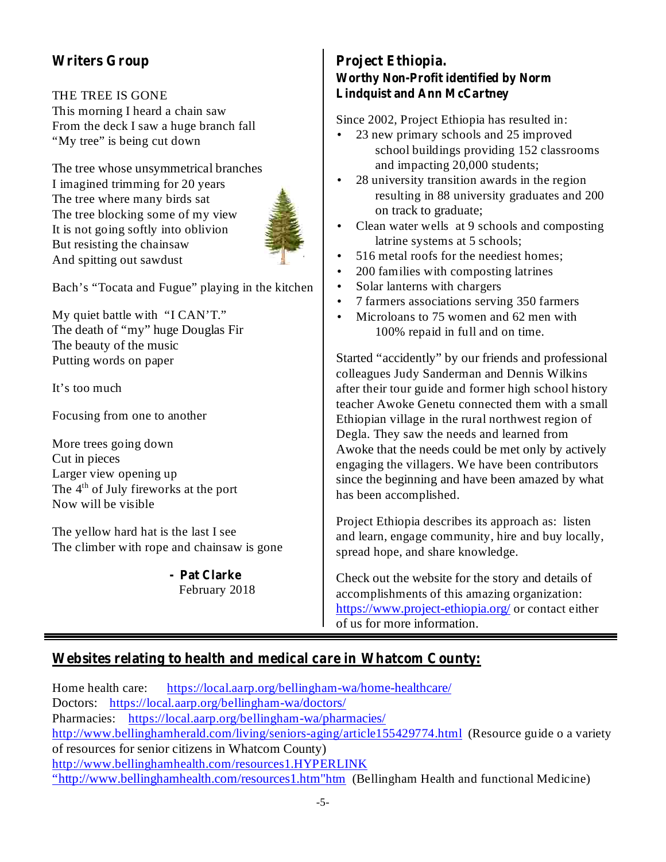# **Writers Group**

### THE TREE IS GONE

This morning I heard a chain saw From the deck I saw a huge branch fall "My tree" is being cut down

The tree whose unsymmetrical branches I imagined trimming for 20 years The tree where many birds sat The tree blocking some of my view It is not going softly into oblivion But resisting the chainsaw And spitting out sawdust



•

Bach's "Tocata and Fugue" playing in the kitchen

My quiet battle with "I CAN'T." The death of "my" huge Douglas Fir The beauty of the music Putting words on paper

It's too much

Focusing from one to another

More trees going down Cut in pieces Larger view opening up The 4<sup>th</sup> of July fireworks at the port Now will be visible

The yellow hard hat is the last I see The climber with rope and chainsaw is gone

#### February 2018 **- Pat Clarke**

**Project Ethiopia. Worthy Non-Profit identified by Norm Lindquist and Ann McCartney**

Since 2002, Project Ethiopia has resulted in:

- 23 new primary schools and 25 improved school buildings providing 152 classrooms and impacting 20,000 students;
- 28 university transition awards in the region resulting in 88 university graduates and 200 on track to graduate; •
- Clean water wells at 9 schools and composting latrine systems at 5 schools; •
- 516 metal roofs for the neediest homes; •
- 200 families with composting latrines •
- Solar lanterns with chargers •
- 7 farmers associations serving 350 farmers •
- Microloans to 75 women and 62 men with 100% repaid in full and on time. •

Started "accidently" by our friends and professional colleagues Judy Sanderman and Dennis Wilkins after their tour guide and former high school history teacher Awoke Genetu connected them with a small Ethiopian village in the rural northwest region of Degla. They saw the needs and learned from Awoke that the needs could be met only by actively engaging the villagers. We have been contributors since the beginning and have been amazed by what has been accomplished.

Project Ethiopia describes its approach as: listen and learn, engage community, hire and buy locally, spread hope, and share knowledge.

Check out the website for the story and details of accomplishments of this amazing organization: https://www.project-ethiopia.org/ or contact either of us for more information.

# **Websites relating to health and medical care in Whatcom County:**

Home health care: https://local.aarp.org/bellingham-wa/home-healthcare/ Doctors: https://local.aarp.org/bellingham-wa/doctors/ Pharmacies: https://local.aarp.org/bellingham-wa/pharmacies/ http://www.bellinghamherald.com/living/seniors-aging/article155429774.html (Resource guide o a variety of resources for senior citizens in Whatcom County) http://www.bellinghamhealth.com/resources1.HYPERLINK "http://www.bellinghamhealth.com/resources1.htm"htm (Bellingham Health and functional Medicine)